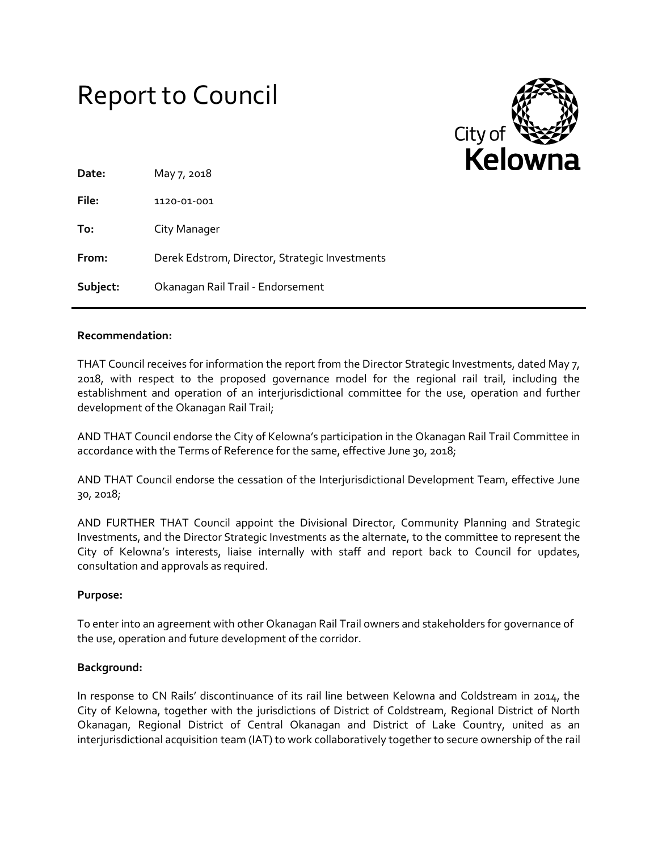# Report to Council



| Date:    | May 7, 2018                                    |
|----------|------------------------------------------------|
| File:    | 1120-01-001                                    |
| To:      | City Manager                                   |
| From:    | Derek Edstrom, Director, Strategic Investments |
| Subject: | Okanagan Rail Trail - Endorsement              |

#### **Recommendation:**

THAT Council receives for information the report from the Director Strategic Investments, dated May 7, 2018, with respect to the proposed governance model for the regional rail trail, including the establishment and operation of an interjurisdictional committee for the use, operation and further development of the Okanagan Rail Trail;

AND THAT Council endorse the City of Kelowna's participation in the Okanagan Rail Trail Committee in accordance with the Terms of Reference for the same, effective June 30, 2018;

AND THAT Council endorse the cessation of the Interjurisdictional Development Team, effective June 30, 2018;

AND FURTHER THAT Council appoint the Divisional Director, Community Planning and Strategic Investments, and the Director Strategic Investments as the alternate, to the committee to represent the City of Kelowna's interests, liaise internally with staff and report back to Council for updates, consultation and approvals as required.

# **Purpose:**

To enter into an agreement with other Okanagan Rail Trail owners and stakeholders for governance of the use, operation and future development of the corridor.

# **Background:**

In response to CN Rails' discontinuance of its rail line between Kelowna and Coldstream in 2014, the City of Kelowna, together with the jurisdictions of District of Coldstream, Regional District of North Okanagan, Regional District of Central Okanagan and District of Lake Country, united as an interjurisdictional acquisition team (IAT) to work collaboratively together to secure ownership of the rail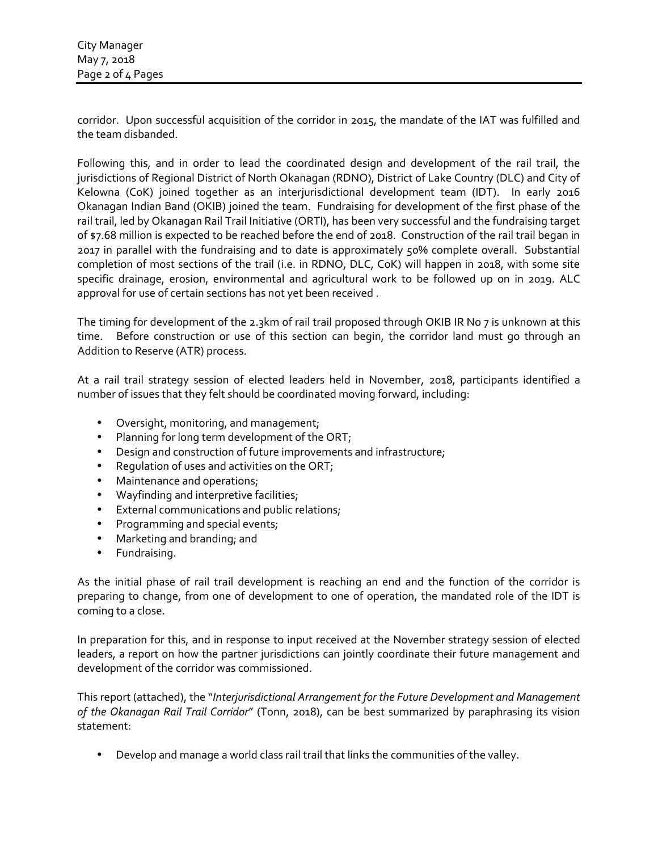corridor. Upon successful acquisition of the corridor in 2015, the mandate of the IAT was fulfilled and the team disbanded.

Following this, and in order to lead the coordinated design and development of the rail trail, the jurisdictions of Regional District of North Okanagan (RDNO), District of Lake Country (DLC) and City of Kelowna (CoK) joined together as an interjurisdictional development team (IDT). In early 2016 Okanagan Indian Band (OKIB) joined the team. Fundraising for development of the first phase of the rail trail, led by Okanagan Rail Trail Initiative (ORTI), has been very successful and the fundraising target of \$7.68 million is expected to be reached before the end of 2018. Construction of the rail trail began in 2017 in parallel with the fundraising and to date is approximately 50% complete overall. Substantial completion of most sections of the trail (i.e. in RDNO, DLC, CoK) will happen in 2018, with some site specific drainage, erosion, environmental and agricultural work to be followed up on in 2019. ALC approval for use of certain sections has not yet been received .

The timing for development of the 2.3km of rail trail proposed through OKIB IR No 7 is unknown at this time. Before construction or use of this section can begin, the corridor land must go through an Addition to Reserve (ATR) process.

At a rail trail strategy session of elected leaders held in November, 2018, participants identified a number of issues that they felt should be coordinated moving forward, including:

- Oversight, monitoring, and management;
- Planning for long term development of the ORT;
- Design and construction of future improvements and infrastructure;
- Requlation of uses and activities on the ORT;
- Maintenance and operations;
- Wayfinding and interpretive facilities;
- External communications and public relations;
- Programming and special events;
- Marketing and branding; and
- Fundraising.

As the initial phase of rail trail development is reaching an end and the function of the corridor is preparing to change, from one of development to one of operation, the mandated role of the IDT is coming to a close.

In preparation for this, and in response to input received at the November strategy session of elected leaders, a report on how the partner jurisdictions can jointly coordinate their future management and development of the corridor was commissioned.

This report (attached), the "*Interjurisdictional Arrangement for the Future Development and Management of the Okanagan Rail Trail Corridor*" (Tonn, 2018), can be best summarized by paraphrasing its vision statement:

Develop and manage a world class rail trail that links the communities of the valley.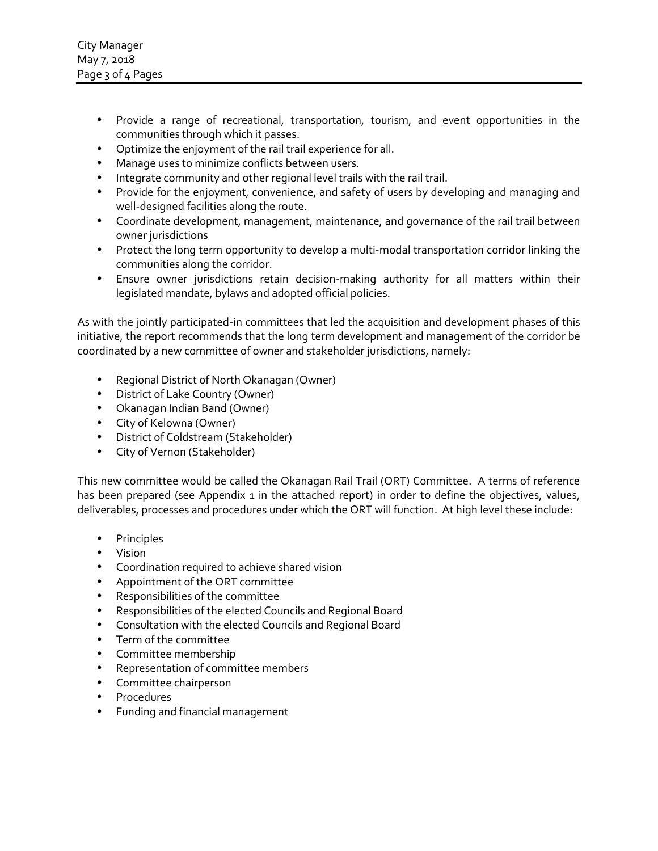- Provide a range of recreational, transportation, tourism, and event opportunities in the communities through which it passes.
- Optimize the enjoyment of the rail trail experience for all.
- Manage uses to minimize conflicts between users.
- Integrate community and other regional level trails with the rail trail.
- Provide for the enjoyment, convenience, and safety of users by developing and managing and well-designed facilities along the route.
- Coordinate development, management, maintenance, and governance of the rail trail between owner jurisdictions
- Protect the long term opportunity to develop a multi-modal transportation corridor linking the communities along the corridor.
- Ensure owner jurisdictions retain decision-making authority for all matters within their legislated mandate, bylaws and adopted official policies.

As with the jointly participated-in committees that led the acquisition and development phases of this initiative, the report recommends that the long term development and management of the corridor be coordinated by a new committee of owner and stakeholder jurisdictions, namely:

- Regional District of North Okanagan (Owner)
- District of Lake Country (Owner)
- Okanagan Indian Band (Owner)
- City of Kelowna (Owner)
- District of Coldstream (Stakeholder)
- City of Vernon (Stakeholder)

This new committee would be called the Okanagan Rail Trail (ORT) Committee. A terms of reference has been prepared (see Appendix 1 in the attached report) in order to define the objectives, values, deliverables, processes and procedures under which the ORT will function. At high level these include:

- Principles
- Vision
- Coordination required to achieve shared vision
- Appointment of the ORT committee
- Responsibilities of the committee
- Responsibilities of the elected Councils and Regional Board
- Consultation with the elected Councils and Regional Board
- Term of the committee
- Committee membership
- Representation of committee members
- Committee chairperson
- Procedures
- Funding and financial management